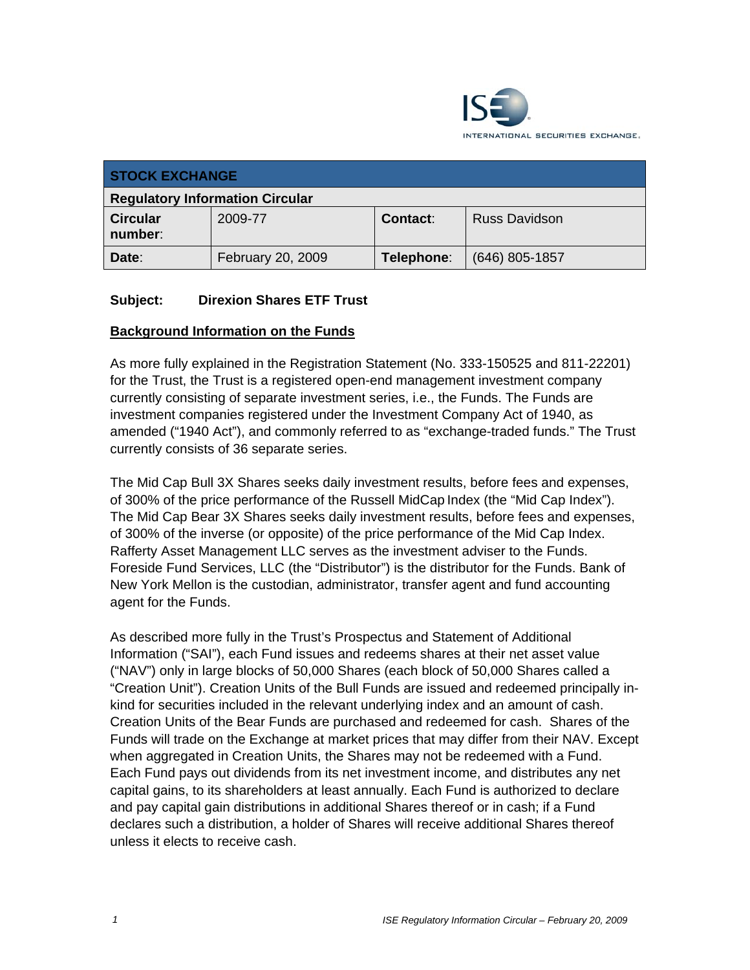

| <b>STOCK EXCHANGE</b>                  |                   |            |                      |
|----------------------------------------|-------------------|------------|----------------------|
| <b>Regulatory Information Circular</b> |                   |            |                      |
| <b>Circular</b><br>number:             | 2009-77           | Contact:   | <b>Russ Davidson</b> |
| Date:                                  | February 20, 2009 | Telephone: | $(646)$ 805-1857     |

### **Subject: Direxion Shares ETF Trust**

#### **Background Information on the Funds**

As more fully explained in the Registration Statement (No. 333-150525 and 811-22201) for the Trust, the Trust is a registered open-end management investment company currently consisting of separate investment series, i.e., the Funds. The Funds are investment companies registered under the Investment Company Act of 1940, as amended ("1940 Act"), and commonly referred to as "exchange-traded funds." The Trust currently consists of 36 separate series.

The Mid Cap Bull 3X Shares seeks daily investment results, before fees and expenses, of 300% of the price performance of the Russell MidCap Index (the "Mid Cap Index"). The Mid Cap Bear 3X Shares seeks daily investment results, before fees and expenses, of 300% of the inverse (or opposite) of the price performance of the Mid Cap Index. Rafferty Asset Management LLC serves as the investment adviser to the Funds. Foreside Fund Services, LLC (the "Distributor") is the distributor for the Funds. Bank of New York Mellon is the custodian, administrator, transfer agent and fund accounting agent for the Funds.

As described more fully in the Trust's Prospectus and Statement of Additional Information ("SAI"), each Fund issues and redeems shares at their net asset value ("NAV") only in large blocks of 50,000 Shares (each block of 50,000 Shares called a "Creation Unit"). Creation Units of the Bull Funds are issued and redeemed principally inkind for securities included in the relevant underlying index and an amount of cash. Creation Units of the Bear Funds are purchased and redeemed for cash. Shares of the Funds will trade on the Exchange at market prices that may differ from their NAV. Except when aggregated in Creation Units, the Shares may not be redeemed with a Fund. Each Fund pays out dividends from its net investment income, and distributes any net capital gains, to its shareholders at least annually. Each Fund is authorized to declare and pay capital gain distributions in additional Shares thereof or in cash; if a Fund declares such a distribution, a holder of Shares will receive additional Shares thereof unless it elects to receive cash.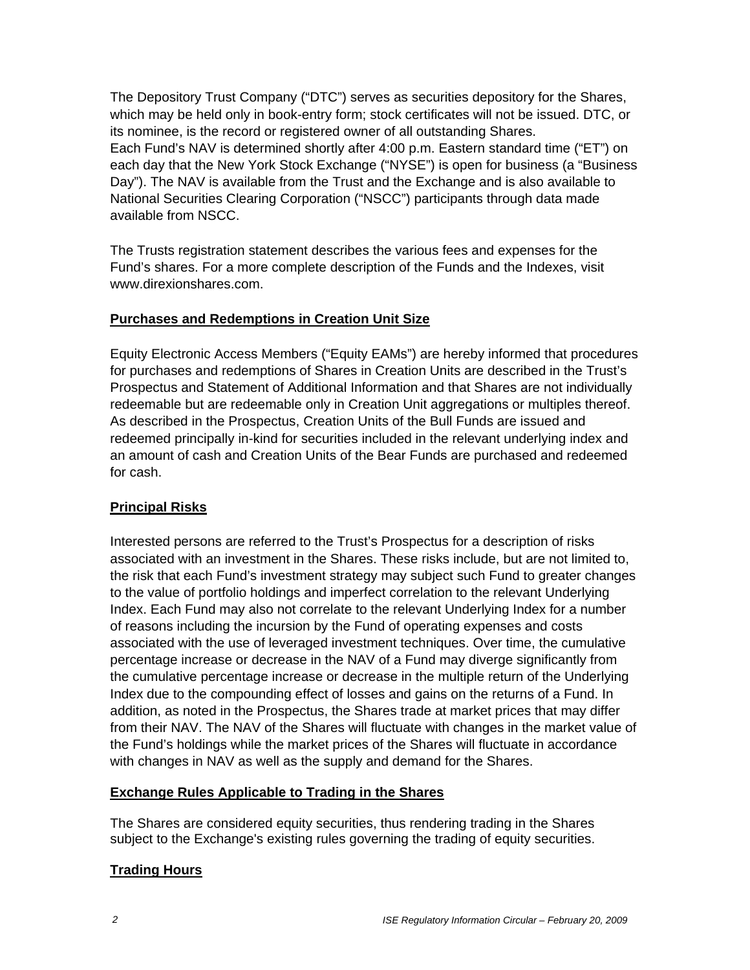The Depository Trust Company ("DTC") serves as securities depository for the Shares, which may be held only in book-entry form; stock certificates will not be issued. DTC, or its nominee, is the record or registered owner of all outstanding Shares. Each Fund's NAV is determined shortly after 4:00 p.m. Eastern standard time ("ET") on each day that the New York Stock Exchange ("NYSE") is open for business (a "Business Day"). The NAV is available from the Trust and the Exchange and is also available to National Securities Clearing Corporation ("NSCC") participants through data made available from NSCC.

The Trusts registration statement describes the various fees and expenses for the Fund's shares. For a more complete description of the Funds and the Indexes, visit www.direxionshares.com.

### **Purchases and Redemptions in Creation Unit Size**

Equity Electronic Access Members ("Equity EAMs") are hereby informed that procedures for purchases and redemptions of Shares in Creation Units are described in the Trust's Prospectus and Statement of Additional Information and that Shares are not individually redeemable but are redeemable only in Creation Unit aggregations or multiples thereof. As described in the Prospectus, Creation Units of the Bull Funds are issued and redeemed principally in-kind for securities included in the relevant underlying index and an amount of cash and Creation Units of the Bear Funds are purchased and redeemed for cash.

#### **Principal Risks**

Interested persons are referred to the Trust's Prospectus for a description of risks associated with an investment in the Shares. These risks include, but are not limited to, the risk that each Fund's investment strategy may subject such Fund to greater changes to the value of portfolio holdings and imperfect correlation to the relevant Underlying Index. Each Fund may also not correlate to the relevant Underlying Index for a number of reasons including the incursion by the Fund of operating expenses and costs associated with the use of leveraged investment techniques. Over time, the cumulative percentage increase or decrease in the NAV of a Fund may diverge significantly from the cumulative percentage increase or decrease in the multiple return of the Underlying Index due to the compounding effect of losses and gains on the returns of a Fund. In addition, as noted in the Prospectus, the Shares trade at market prices that may differ from their NAV. The NAV of the Shares will fluctuate with changes in the market value of the Fund's holdings while the market prices of the Shares will fluctuate in accordance with changes in NAV as well as the supply and demand for the Shares.

#### **Exchange Rules Applicable to Trading in the Shares**

The Shares are considered equity securities, thus rendering trading in the Shares subject to the Exchange's existing rules governing the trading of equity securities.

# **Trading Hours**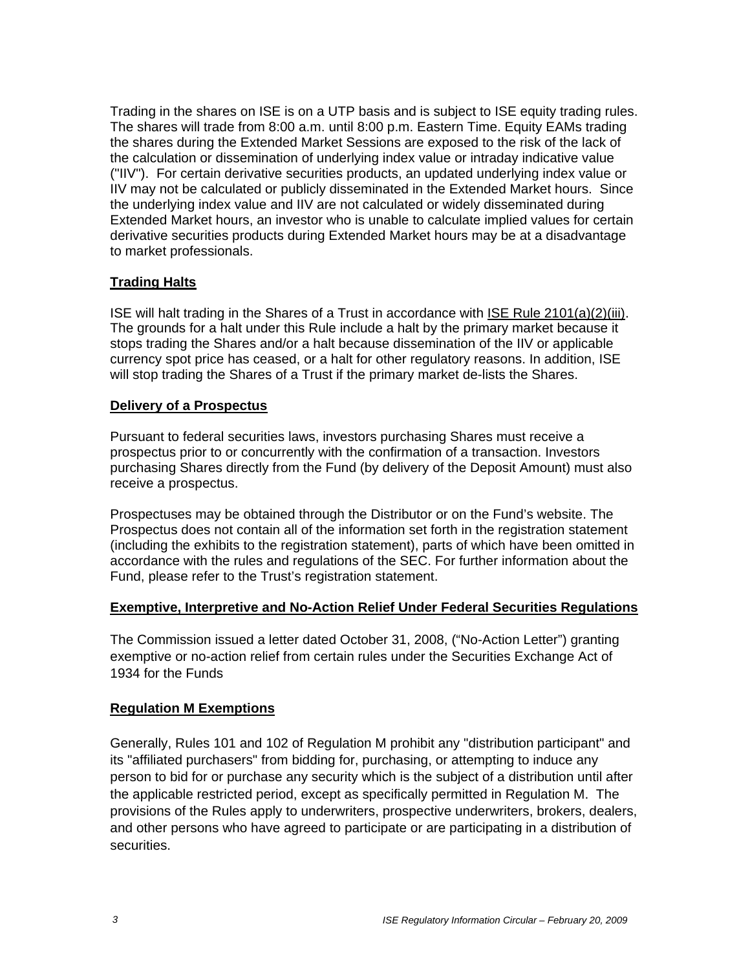Trading in the shares on ISE is on a UTP basis and is subject to ISE equity trading rules. The shares will trade from 8:00 a.m. until 8:00 p.m. Eastern Time. Equity EAMs trading the shares during the Extended Market Sessions are exposed to the risk of the lack of the calculation or dissemination of underlying index value or intraday indicative value ("IIV"). For certain derivative securities products, an updated underlying index value or IIV may not be calculated or publicly disseminated in the Extended Market hours. Since the underlying index value and IIV are not calculated or widely disseminated during Extended Market hours, an investor who is unable to calculate implied values for certain derivative securities products during Extended Market hours may be at a disadvantage to market professionals.

# **Trading Halts**

ISE will halt trading in the Shares of a Trust in accordance with ISE Rule 2101(a)(2)(iii). The grounds for a halt under this Rule include a halt by the primary market because it stops trading the Shares and/or a halt because dissemination of the IIV or applicable currency spot price has ceased, or a halt for other regulatory reasons. In addition, ISE will stop trading the Shares of a Trust if the primary market de-lists the Shares.

#### **Delivery of a Prospectus**

Pursuant to federal securities laws, investors purchasing Shares must receive a prospectus prior to or concurrently with the confirmation of a transaction. Investors purchasing Shares directly from the Fund (by delivery of the Deposit Amount) must also receive a prospectus.

Prospectuses may be obtained through the Distributor or on the Fund's website. The Prospectus does not contain all of the information set forth in the registration statement (including the exhibits to the registration statement), parts of which have been omitted in accordance with the rules and regulations of the SEC. For further information about the Fund, please refer to the Trust's registration statement.

#### **Exemptive, Interpretive and No-Action Relief Under Federal Securities Regulations**

The Commission issued a letter dated October 31, 2008, ("No-Action Letter") granting exemptive or no-action relief from certain rules under the Securities Exchange Act of 1934 for the Funds

#### **Regulation M Exemptions**

Generally, Rules 101 and 102 of Regulation M prohibit any "distribution participant" and its "affiliated purchasers" from bidding for, purchasing, or attempting to induce any person to bid for or purchase any security which is the subject of a distribution until after the applicable restricted period, except as specifically permitted in Regulation M. The provisions of the Rules apply to underwriters, prospective underwriters, brokers, dealers, and other persons who have agreed to participate or are participating in a distribution of securities.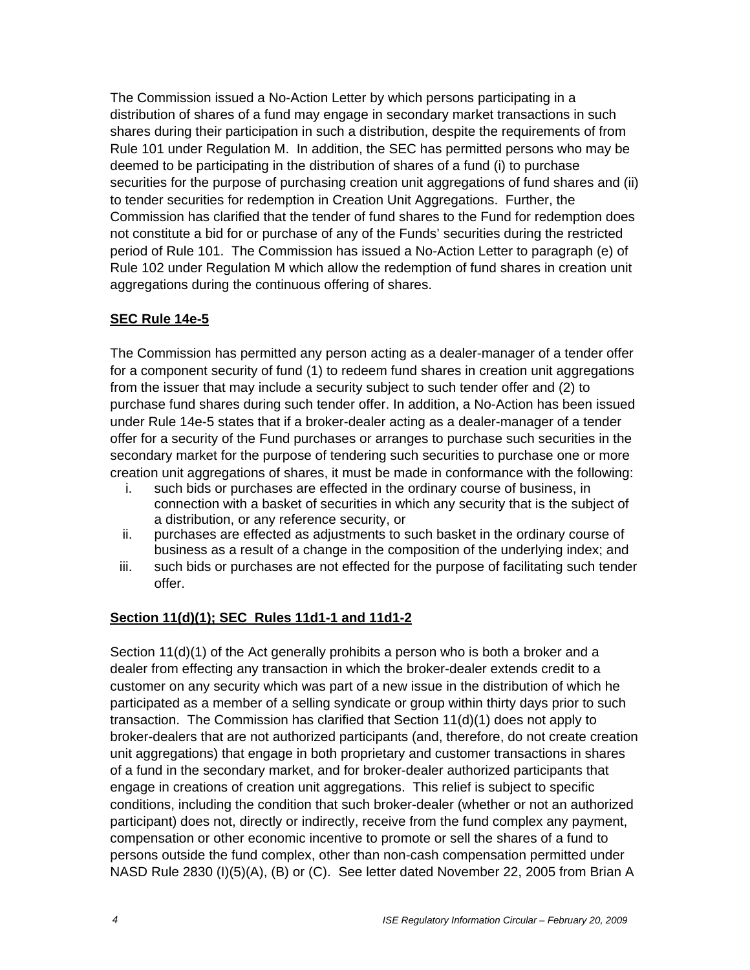The Commission issued a No-Action Letter by which persons participating in a distribution of shares of a fund may engage in secondary market transactions in such shares during their participation in such a distribution, despite the requirements of from Rule 101 under Regulation M. In addition, the SEC has permitted persons who may be deemed to be participating in the distribution of shares of a fund (i) to purchase securities for the purpose of purchasing creation unit aggregations of fund shares and (ii) to tender securities for redemption in Creation Unit Aggregations. Further, the Commission has clarified that the tender of fund shares to the Fund for redemption does not constitute a bid for or purchase of any of the Funds' securities during the restricted period of Rule 101. The Commission has issued a No-Action Letter to paragraph (e) of Rule 102 under Regulation M which allow the redemption of fund shares in creation unit aggregations during the continuous offering of shares.

# **SEC Rule 14e-5**

The Commission has permitted any person acting as a dealer-manager of a tender offer for a component security of fund (1) to redeem fund shares in creation unit aggregations from the issuer that may include a security subject to such tender offer and (2) to purchase fund shares during such tender offer. In addition, a No-Action has been issued under Rule 14e-5 states that if a broker-dealer acting as a dealer-manager of a tender offer for a security of the Fund purchases or arranges to purchase such securities in the secondary market for the purpose of tendering such securities to purchase one or more creation unit aggregations of shares, it must be made in conformance with the following:

- i. such bids or purchases are effected in the ordinary course of business, in connection with a basket of securities in which any security that is the subject of a distribution, or any reference security, or
- ii. purchases are effected as adjustments to such basket in the ordinary course of business as a result of a change in the composition of the underlying index; and
- iii. such bids or purchases are not effected for the purpose of facilitating such tender offer.

# **Section 11(d)(1); SEC Rules 11d1-1 and 11d1-2**

Section 11(d)(1) of the Act generally prohibits a person who is both a broker and a dealer from effecting any transaction in which the broker-dealer extends credit to a customer on any security which was part of a new issue in the distribution of which he participated as a member of a selling syndicate or group within thirty days prior to such transaction. The Commission has clarified that Section 11(d)(1) does not apply to broker-dealers that are not authorized participants (and, therefore, do not create creation unit aggregations) that engage in both proprietary and customer transactions in shares of a fund in the secondary market, and for broker-dealer authorized participants that engage in creations of creation unit aggregations. This relief is subject to specific conditions, including the condition that such broker-dealer (whether or not an authorized participant) does not, directly or indirectly, receive from the fund complex any payment, compensation or other economic incentive to promote or sell the shares of a fund to persons outside the fund complex, other than non-cash compensation permitted under NASD Rule 2830 (I)(5)(A), (B) or (C). See letter dated November 22, 2005 from Brian A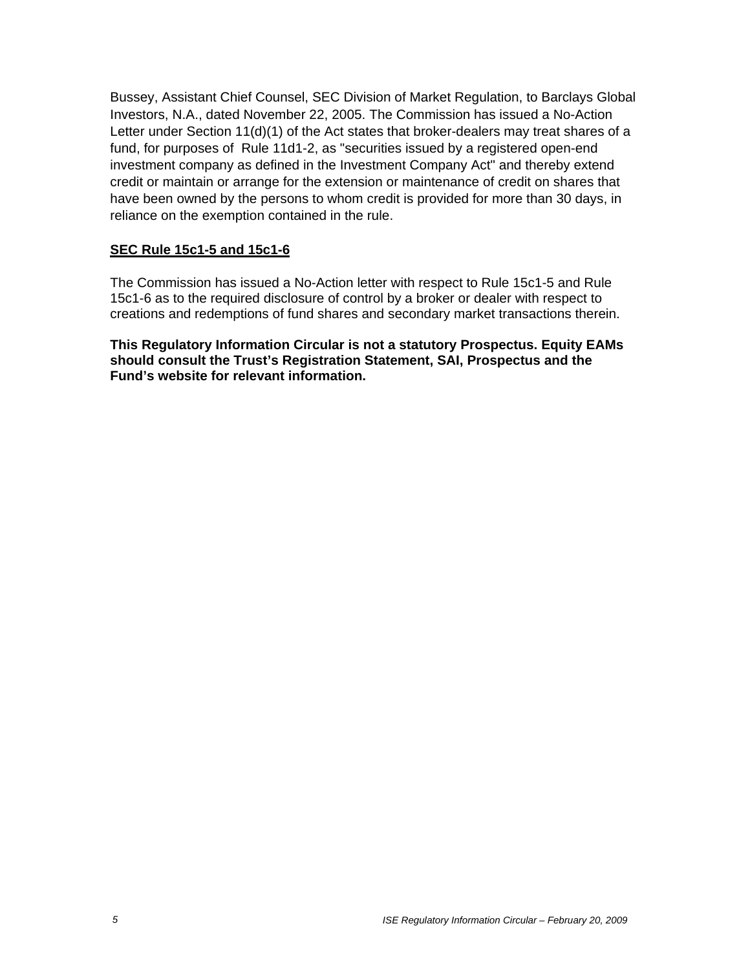Bussey, Assistant Chief Counsel, SEC Division of Market Regulation, to Barclays Global Investors, N.A., dated November 22, 2005. The Commission has issued a No-Action Letter under Section 11(d)(1) of the Act states that broker-dealers may treat shares of a fund, for purposes of Rule 11d1-2, as "securities issued by a registered open-end investment company as defined in the Investment Company Act" and thereby extend credit or maintain or arrange for the extension or maintenance of credit on shares that have been owned by the persons to whom credit is provided for more than 30 days, in reliance on the exemption contained in the rule.

#### **SEC Rule 15c1-5 and 15c1-6**

The Commission has issued a No-Action letter with respect to Rule 15c1-5 and Rule 15c1-6 as to the required disclosure of control by a broker or dealer with respect to creations and redemptions of fund shares and secondary market transactions therein.

**This Regulatory Information Circular is not a statutory Prospectus. Equity EAMs should consult the Trust's Registration Statement, SAI, Prospectus and the Fund's website for relevant information.**